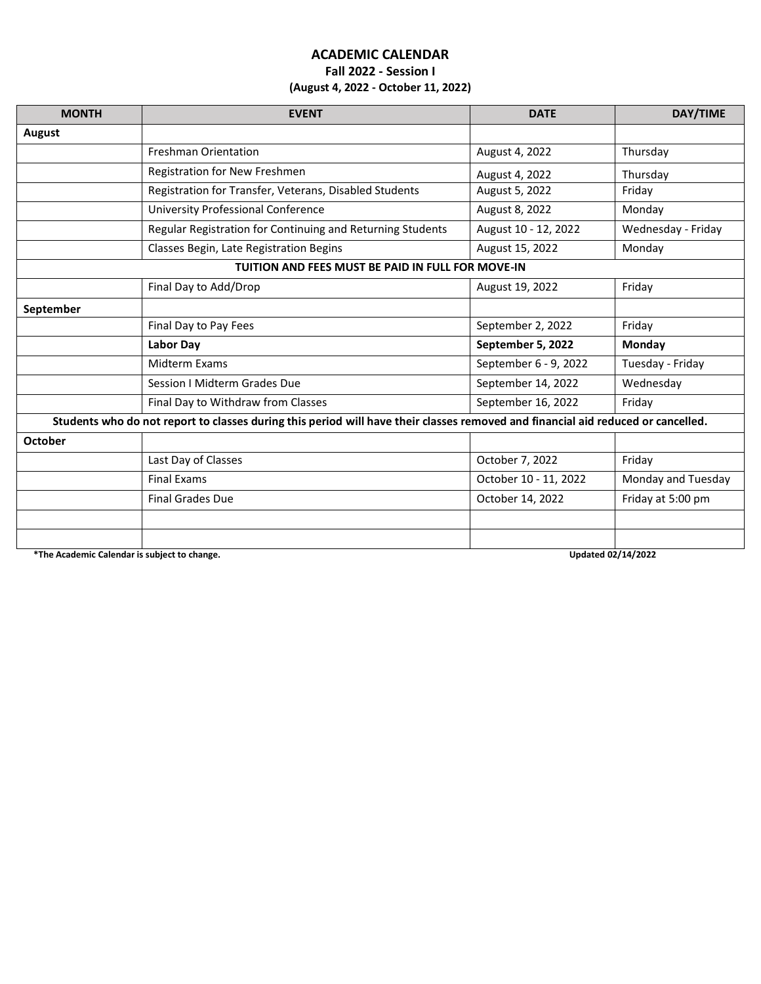## **ACADEMIC CALENDAR Fall 2022 - Session I (August 4, 2022 - October 11, 2022)**

| <b>MONTH</b>                                                                                                                     | <b>EVENT</b>                                               | <b>DATE</b>           | DAY/TIME           |  |
|----------------------------------------------------------------------------------------------------------------------------------|------------------------------------------------------------|-----------------------|--------------------|--|
| <b>August</b>                                                                                                                    |                                                            |                       |                    |  |
|                                                                                                                                  | <b>Freshman Orientation</b>                                | August 4, 2022        | Thursday           |  |
|                                                                                                                                  | Registration for New Freshmen                              | August 4, 2022        | Thursday           |  |
|                                                                                                                                  | Registration for Transfer, Veterans, Disabled Students     | August 5, 2022        | Friday             |  |
|                                                                                                                                  | <b>University Professional Conference</b>                  | August 8, 2022        | Monday             |  |
|                                                                                                                                  | Regular Registration for Continuing and Returning Students | August 10 - 12, 2022  | Wednesday - Friday |  |
|                                                                                                                                  | Classes Begin, Late Registration Begins                    | August 15, 2022       | Monday             |  |
| TUITION AND FEES MUST BE PAID IN FULL FOR MOVE-IN                                                                                |                                                            |                       |                    |  |
|                                                                                                                                  | Final Day to Add/Drop                                      | August 19, 2022       | Friday             |  |
| September                                                                                                                        |                                                            |                       |                    |  |
|                                                                                                                                  | Final Day to Pay Fees                                      | September 2, 2022     | Friday             |  |
|                                                                                                                                  | <b>Labor Day</b>                                           | September 5, 2022     | Monday             |  |
|                                                                                                                                  | Midterm Exams                                              | September 6 - 9, 2022 | Tuesday - Friday   |  |
|                                                                                                                                  | <b>Session I Midterm Grades Due</b>                        | September 14, 2022    | Wednesday          |  |
|                                                                                                                                  | Final Day to Withdraw from Classes                         | September 16, 2022    | Friday             |  |
| Students who do not report to classes during this period will have their classes removed and financial aid reduced or cancelled. |                                                            |                       |                    |  |
| October                                                                                                                          |                                                            |                       |                    |  |
|                                                                                                                                  | Last Day of Classes                                        | October 7, 2022       | Friday             |  |
|                                                                                                                                  | <b>Final Exams</b>                                         | October 10 - 11, 2022 | Monday and Tuesday |  |
|                                                                                                                                  | <b>Final Grades Due</b>                                    | October 14, 2022      | Friday at 5:00 pm  |  |
|                                                                                                                                  |                                                            |                       |                    |  |
|                                                                                                                                  |                                                            |                       |                    |  |

**\*The Academic Calendar is subject to change. Updated 02/14/2022**